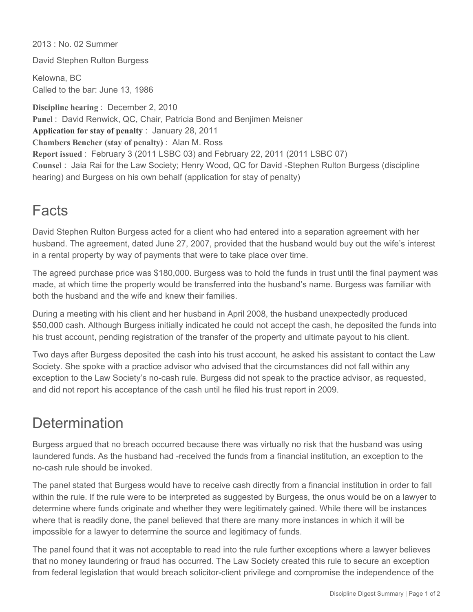2013 : No. 02 Summer

David Stephen Rulton Burgess

Kelowna, BC Called to the bar: June 13, 1986

**Discipline hearing** : December 2, 2010 **Panel** : David Renwick, QC, Chair, Patricia Bond and Benjimen Meisner **Application for stay of penalty** : January 28, 2011 **Chambers Bencher (stay of penalty)** : Alan M. Ross **Report issued** : February 3 (2011 LSBC 03) and February 22, 2011 (2011 LSBC 07) Counsel : Jaia Rai for the Law Society; Henry Wood, QC for David -Stephen Rulton Burgess (discipline hearing) and Burgess on his own behalf (application for stay of penalty)

## **Facts**

David Stephen Rulton Burgess acted for a client who had entered into a separation agreement with her husband. The agreement, dated June 27, 2007, provided that the husband would buy out the wife's interest in a rental property by way of payments that were to take place over time.

The agreed purchase price was \$180,000. Burgess was to hold the funds in trust until the final payment was made, at which time the property would be transferred into the husband's name. Burgess was familiar with both the husband and the wife and knew their families.

During a meeting with his client and her husband in April 2008, the husband unexpectedly produced \$50,000 cash. Although Burgess initially indicated he could not accept the cash, he deposited the funds into his trust account, pending registration of the transfer of the property and ultimate payout to his client.

Two days after Burgess deposited the cash into his trust account, he asked his assistant to contact the Law Society. She spoke with a practice advisor who advised that the circumstances did not fall within any exception to the Law Society's no-cash rule. Burgess did not speak to the practice advisor, as requested, and did not report his acceptance of the cash until he filed his trust report in 2009.

## **Determination**

Burgess argued that no breach occurred because there was virtually no risk that the husband was using laundered funds. As the husband had -received the funds from a financial institution, an exception to the nocash rule should be invoked.

The panel stated that Burgess would have to receive cash directly from a financial institution in order to fall within the rule. If the rule were to be interpreted as suggested by Burgess, the onus would be on a lawyer to determine where funds originate and whether they were legitimately gained. While there will be instances where that is readily done, the panel believed that there are many more instances in which it will be impossible for a lawyer to determine the source and legitimacy of funds.

The panel found that it was not acceptable to read into the rule further exceptions where a lawyer believes that no money laundering or fraud has occurred. The Law Society created this rule to secure an exception from federal legislation that would breach solicitor-client privilege and compromise the independence of the